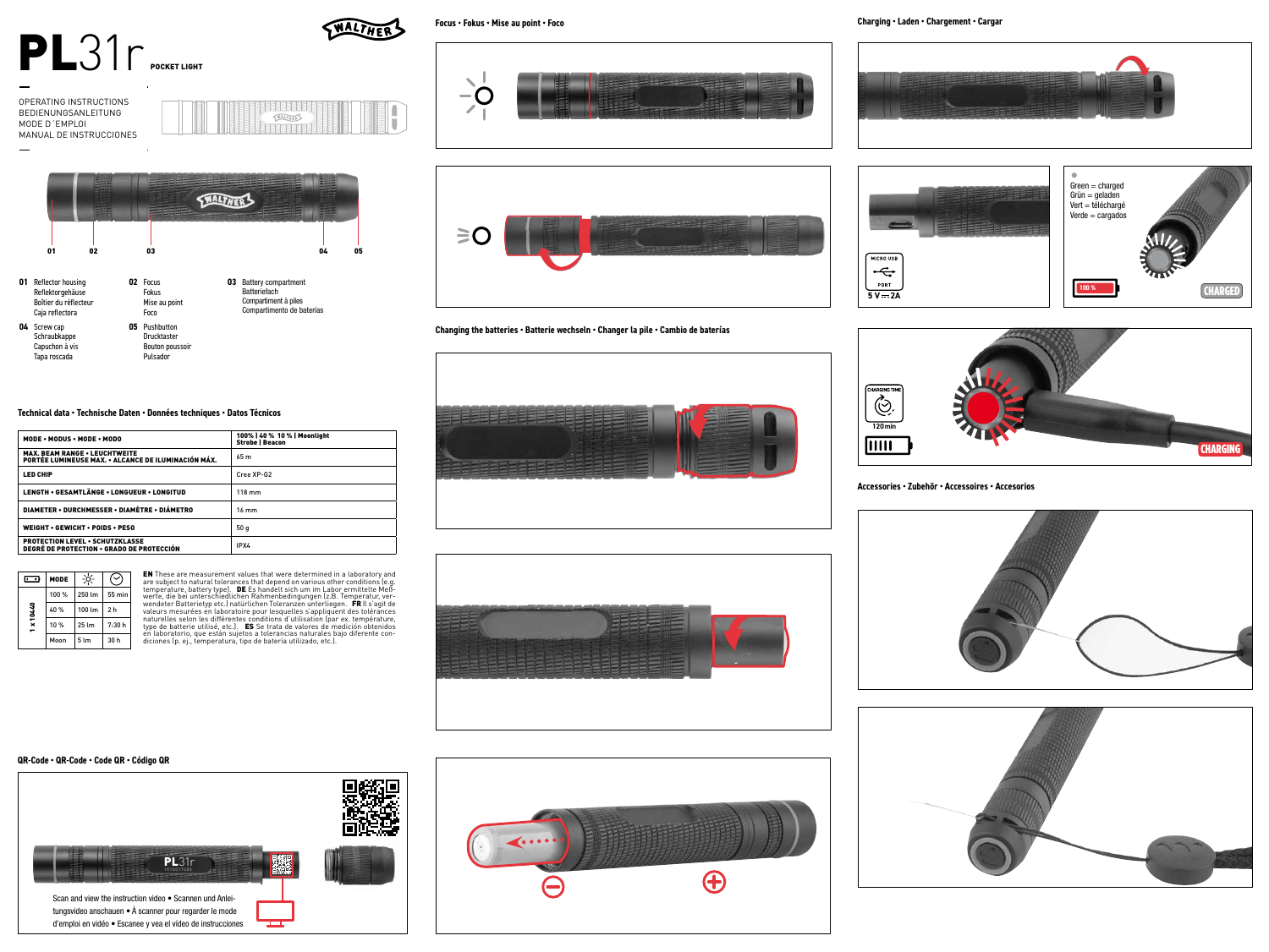

OPERATING INSTRUCTIONS BEDIENUNGSANLEITUNG MODE D´EMPLOI

MANUAL DE INSTRUCCIONES



**Focus • Fokus • Mise au point • Foco**









**Accessories • Zubehör • Accessoires • Accesorios**





**THALTHER** 



Reflektorgehäuse Boîtier du réflecteur Caja reflectora Fokus Mise au point Foco **04** Screw cap Schraubkappe Capuchon à vis Tapa roscada **05** Pushbutton Drucktaster Bouton poussoir Pulsador

**03** Battery compartment Batteriefach Compartiment à piles Compartimento de baterías



# **Changing the batteries • Batterie wechseln • Changer la pile • Cambio de baterías**

# **Technical data • Technische Daten • Données techniques • Datos Técnicos**

| MODE . MODUS . MODE . MODO                                                                  | 100%   40 % 10 %   Moonlight<br><b>Strobe   Beacon</b> |
|---------------------------------------------------------------------------------------------|--------------------------------------------------------|
| <b>MAX. BEAM RANGE . LEUCHTWEITE</b><br>PORTÉE LUMINEUSE MAX. • ALCANCE DE ILUMINACIÓN MÁX. | 65 m                                                   |
| <b>LED CHIP</b>                                                                             | Cree XP-G2                                             |
| LENGTH . GESAMTLÄNGE . LONGUEUR . LONGITUD                                                  | $118 \text{ mm}$                                       |
| DIAMETER • DURCHMESSER • DIAMÈTRE • DIÁMETRO                                                | $16 \text{ mm}$                                        |
| <b>WEIGHT • GEWICHT • POIDS • PESO</b>                                                      | 50q                                                    |
| <b>PROTECTION LEVEL • SCHUTZKLASSE</b><br>DEGRÉ DE PROTECTION • GRADO DE PROTECCIÓN         | IPX4                                                   |
|                                                                                             |                                                        |



**EN** These are measurement values that were determined in a laboratory and<br>are subject to natural tolerances that depend on various other conditions (e.g. temperature, battery type]. **DE** Es handelt sich um im Labor ermittelte Meß-<br>werte, die bei unterschiedlichen Rahmenbedingungen [z.B. Temperatur, ver-<br>wendeter Batterietyp etc.) natürlichen Toleranzen unterliegen. **FR** II



# **QR-Code • QR-Code • Code QR • Código QR**